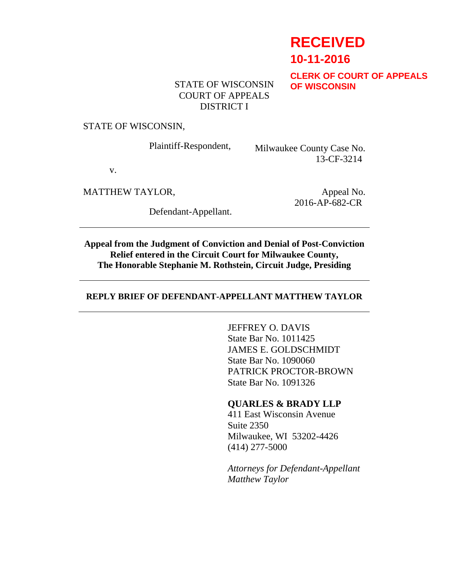# **RECEIVED**

**10-11-2016**

**CLERK OF COURT OF APPEALS OF WISCONSIN**

## STATE OF WISCONSIN COURT OF APPEALS DISTRICT I

#### STATE OF WISCONSIN,

Plaintiff-Respondent, Milwaukee County Case No. 13-CF-3214

v.

MATTHEW TAYLOR,

Defendant-Appellant.

Appeal No. 2016-AP-682-CR

**Appeal from the Judgment of Conviction and Denial of Post-Conviction Relief entered in the Circuit Court for Milwaukee County, The Honorable Stephanie M. Rothstein, Circuit Judge, Presiding**

#### **REPLY BRIEF OF DEFENDANT-APPELLANT MATTHEW TAYLOR**

JEFFREY O. DAVIS State Bar No. 1011425 JAMES E. GOLDSCHMIDT State Bar No. 1090060 PATRICK PROCTOR-BROWN State Bar No. 1091326

#### **QUARLES & BRADY LLP**

411 East Wisconsin Avenue Suite 2350 Milwaukee, WI 53202-4426 (414) 277-5000

*Attorneys for Defendant-Appellant Matthew Taylor*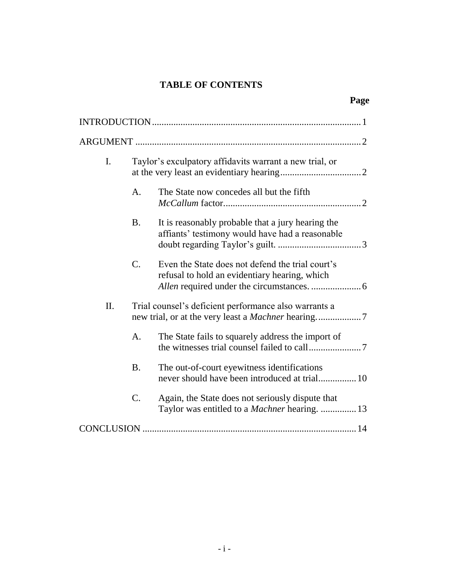## **TABLE OF CONTENTS**

**Page**

| I. | Taylor's exculpatory affidavits warrant a new trial, or |                                                                                                          |  |
|----|---------------------------------------------------------|----------------------------------------------------------------------------------------------------------|--|
|    | A.                                                      | The State now concedes all but the fifth                                                                 |  |
|    | <b>B.</b>                                               | It is reasonably probable that a jury hearing the<br>affiants' testimony would have had a reasonable     |  |
|    | C.                                                      | Even the State does not defend the trial court's<br>refusal to hold an evidentiary hearing, which        |  |
| Π. |                                                         | Trial counsel's deficient performance also warrants a                                                    |  |
|    | A.                                                      | The State fails to squarely address the import of                                                        |  |
|    | <b>B.</b>                                               | The out-of-court eyewitness identifications<br>never should have been introduced at trial 10             |  |
|    | C.                                                      | Again, the State does not seriously dispute that<br>Taylor was entitled to a <i>Machner</i> hearing.  13 |  |
|    |                                                         |                                                                                                          |  |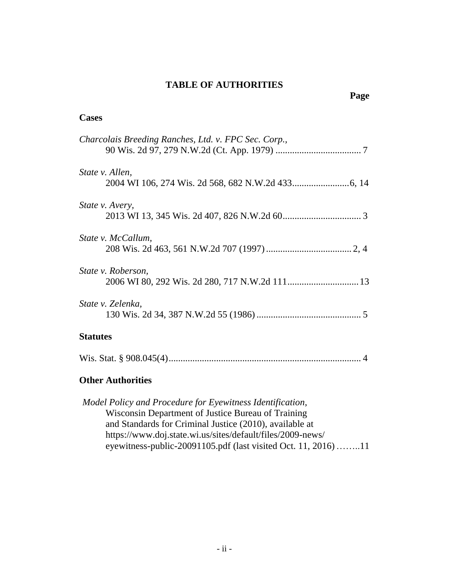## **TABLE OF AUTHORITIES**

#### **Cases**

| Charcolais Breeding Ranches, Ltd. v. FPC Sec. Corp., |
|------------------------------------------------------|
| State v. Allen,                                      |
| <i>State v. Avery,</i>                               |
| State v. McCallum,                                   |
| State v. Roberson,                                   |
| State v. Zelenka,                                    |
| <b>Statutes</b>                                      |
|                                                      |
| <b>Other Authorities</b>                             |

*Model Policy and Procedure for Eyewitness Identification*, Wisconsin Department of Justice Bureau of Training and Standards for Criminal Justice (2010), available at https://www.doj.state.wi.us/sites/default/files/2009-news/ eyewitness-public-20091105.pdf (last visited Oct. 11, 2016)……..11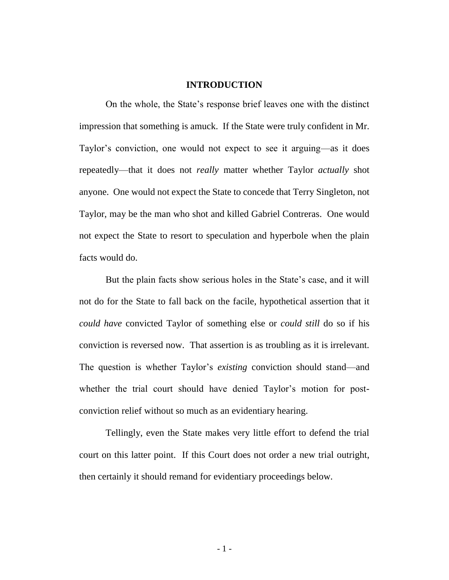#### **INTRODUCTION**

On the whole, the State's response brief leaves one with the distinct impression that something is amuck. If the State were truly confident in Mr. Taylor's conviction, one would not expect to see it arguing—as it does repeatedly—that it does not *really* matter whether Taylor *actually* shot anyone. One would not expect the State to concede that Terry Singleton, not Taylor, may be the man who shot and killed Gabriel Contreras. One would not expect the State to resort to speculation and hyperbole when the plain facts would do.

But the plain facts show serious holes in the State's case, and it will not do for the State to fall back on the facile, hypothetical assertion that it *could have* convicted Taylor of something else or *could still* do so if his conviction is reversed now. That assertion is as troubling as it is irrelevant. The question is whether Taylor's *existing* conviction should stand—and whether the trial court should have denied Taylor's motion for postconviction relief without so much as an evidentiary hearing.

Tellingly, even the State makes very little effort to defend the trial court on this latter point. If this Court does not order a new trial outright, then certainly it should remand for evidentiary proceedings below.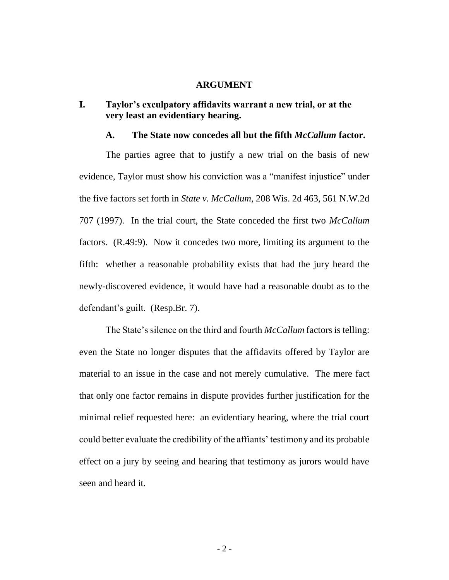#### **ARGUMENT**

## **I. Taylor's exculpatory affidavits warrant a new trial, or at the very least an evidentiary hearing.**

#### **A. The State now concedes all but the fifth** *McCallum* **factor.**

The parties agree that to justify a new trial on the basis of new evidence, Taylor must show his conviction was a "manifest injustice" under the five factors set forth in *State v. McCallum*, 208 Wis. 2d 463, 561 N.W.2d 707 (1997). In the trial court, the State conceded the first two *McCallum* factors. (R.49:9). Now it concedes two more, limiting its argument to the fifth: whether a reasonable probability exists that had the jury heard the newly-discovered evidence, it would have had a reasonable doubt as to the defendant's guilt. (Resp.Br. 7).

The State's silence on the third and fourth *McCallum* factors is telling: even the State no longer disputes that the affidavits offered by Taylor are material to an issue in the case and not merely cumulative. The mere fact that only one factor remains in dispute provides further justification for the minimal relief requested here: an evidentiary hearing, where the trial court could better evaluate the credibility of the affiants' testimony and its probable effect on a jury by seeing and hearing that testimony as jurors would have seen and heard it.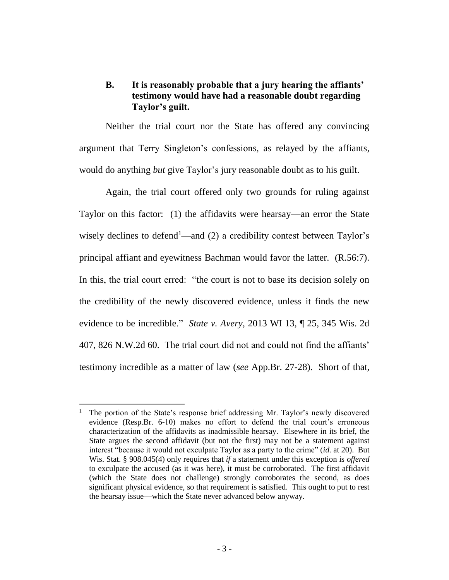## **B. It is reasonably probable that a jury hearing the affiants' testimony would have had a reasonable doubt regarding Taylor's guilt.**

Neither the trial court nor the State has offered any convincing argument that Terry Singleton's confessions, as relayed by the affiants, would do anything *but* give Taylor's jury reasonable doubt as to his guilt.

Again, the trial court offered only two grounds for ruling against Taylor on this factor: (1) the affidavits were hearsay—an error the State wisely declines to defend<sup>1</sup>—and (2) a credibility contest between Taylor's principal affiant and eyewitness Bachman would favor the latter. (R.56:7). In this, the trial court erred: "the court is not to base its decision solely on the credibility of the newly discovered evidence, unless it finds the new evidence to be incredible." *State v. Avery*, 2013 WI 13, ¶ 25, 345 Wis. 2d 407, 826 N.W.2d 60. The trial court did not and could not find the affiants' testimony incredible as a matter of law (*see* App.Br. 27-28). Short of that,

 $\overline{a}$ 

<sup>&</sup>lt;sup>1</sup> The portion of the State's response brief addressing Mr. Taylor's newly discovered evidence (Resp.Br. 6-10) makes no effort to defend the trial court's erroneous characterization of the affidavits as inadmissible hearsay. Elsewhere in its brief, the State argues the second affidavit (but not the first) may not be a statement against interest "because it would not exculpate Taylor as a party to the crime" (*id.* at 20). But Wis. Stat. § 908.045(4) only requires that *if* a statement under this exception is *offered* to exculpate the accused (as it was here), it must be corroborated. The first affidavit (which the State does not challenge) strongly corroborates the second, as does significant physical evidence, so that requirement is satisfied. This ought to put to rest the hearsay issue—which the State never advanced below anyway.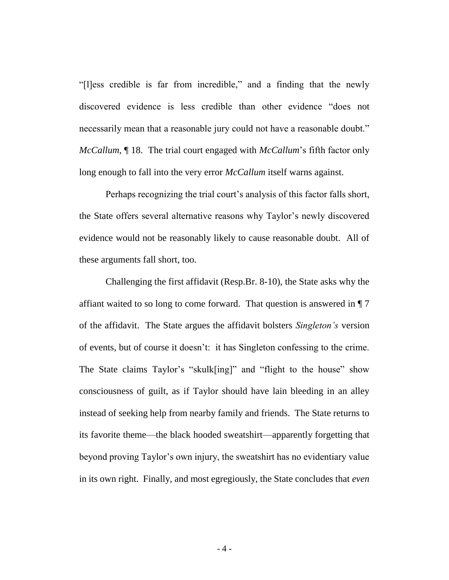"[l]ess credible is far from incredible," and a finding that the newly discovered evidence is less credible than other evidence "does not necessarily mean that a reasonable jury could not have a reasonable doubt." *McCallum*, ¶ 18. The trial court engaged with *McCallum*'s fifth factor only long enough to fall into the very error *McCallum* itself warns against.

Perhaps recognizing the trial court's analysis of this factor falls short, the State offers several alternative reasons why Taylor's newly discovered evidence would not be reasonably likely to cause reasonable doubt. All of these arguments fall short, too.

Challenging the first affidavit (Resp.Br. 8-10), the State asks why the affiant waited to so long to come forward. That question is answered in ¶ 7 of the affidavit. The State argues the affidavit bolsters *Singleton's* version of events, but of course it doesn't: it has Singleton confessing to the crime. The State claims Taylor's "skulk[ing]" and "flight to the house" show consciousness of guilt, as if Taylor should have lain bleeding in an alley instead of seeking help from nearby family and friends. The State returns to its favorite theme—the black hooded sweatshirt—apparently forgetting that beyond proving Taylor's own injury, the sweatshirt has no evidentiary value in its own right. Finally, and most egregiously, the State concludes that *even*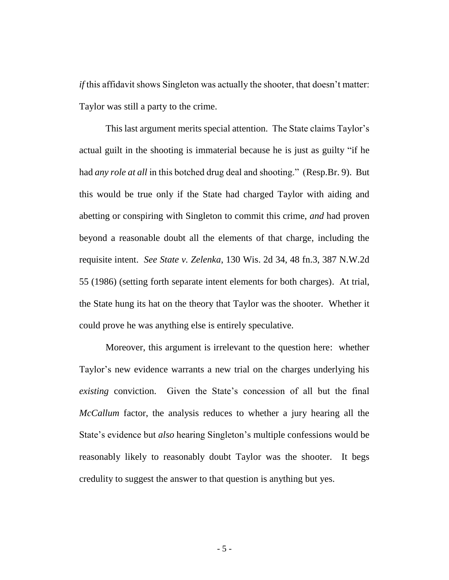*if* this affidavit shows Singleton was actually the shooter, that doesn't matter: Taylor was still a party to the crime.

This last argument merits special attention. The State claims Taylor's actual guilt in the shooting is immaterial because he is just as guilty "if he had *any role at all* in this botched drug deal and shooting." (Resp.Br. 9). But this would be true only if the State had charged Taylor with aiding and abetting or conspiring with Singleton to commit this crime, *and* had proven beyond a reasonable doubt all the elements of that charge, including the requisite intent. *See State v. Zelenka*, 130 Wis. 2d 34, 48 fn.3, 387 N.W.2d 55 (1986) (setting forth separate intent elements for both charges). At trial, the State hung its hat on the theory that Taylor was the shooter. Whether it could prove he was anything else is entirely speculative.

Moreover, this argument is irrelevant to the question here: whether Taylor's new evidence warrants a new trial on the charges underlying his *existing* conviction. Given the State's concession of all but the final *McCallum* factor, the analysis reduces to whether a jury hearing all the State's evidence but *also* hearing Singleton's multiple confessions would be reasonably likely to reasonably doubt Taylor was the shooter. It begs credulity to suggest the answer to that question is anything but yes.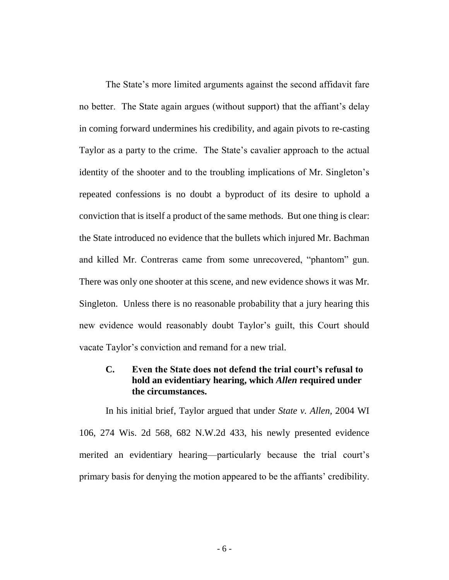The State's more limited arguments against the second affidavit fare no better. The State again argues (without support) that the affiant's delay in coming forward undermines his credibility, and again pivots to re-casting Taylor as a party to the crime. The State's cavalier approach to the actual identity of the shooter and to the troubling implications of Mr. Singleton's repeated confessions is no doubt a byproduct of its desire to uphold a conviction that is itself a product of the same methods. But one thing is clear: the State introduced no evidence that the bullets which injured Mr. Bachman and killed Mr. Contreras came from some unrecovered, "phantom" gun. There was only one shooter at this scene, and new evidence shows it was Mr. Singleton. Unless there is no reasonable probability that a jury hearing this new evidence would reasonably doubt Taylor's guilt, this Court should vacate Taylor's conviction and remand for a new trial.

## **C. Even the State does not defend the trial court's refusal to hold an evidentiary hearing, which** *Allen* **required under the circumstances.**

In his initial brief, Taylor argued that under *State v. Allen*, 2004 WI 106, 274 Wis. 2d 568, 682 N.W.2d 433, his newly presented evidence merited an evidentiary hearing—particularly because the trial court's primary basis for denying the motion appeared to be the affiants' credibility.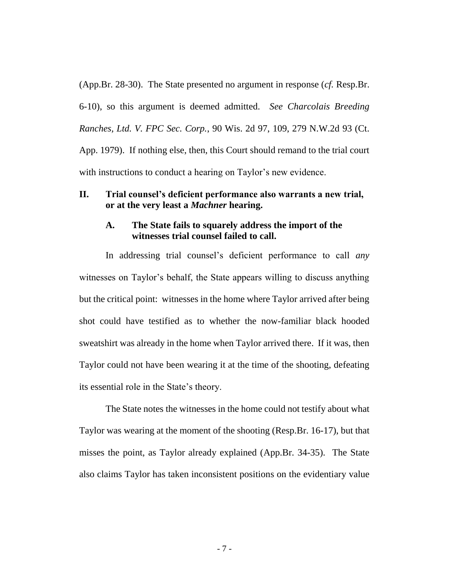(App.Br. 28-30). The State presented no argument in response (*cf.* Resp.Br. 6-10), so this argument is deemed admitted. *See Charcolais Breeding Ranches, Ltd. V. FPC Sec. Corp.*, 90 Wis. 2d 97, 109, 279 N.W.2d 93 (Ct. App. 1979). If nothing else, then, this Court should remand to the trial court with instructions to conduct a hearing on Taylor's new evidence.

### **II. Trial counsel's deficient performance also warrants a new trial, or at the very least a** *Machner* **hearing.**

#### **A. The State fails to squarely address the import of the witnesses trial counsel failed to call.**

In addressing trial counsel's deficient performance to call *any* witnesses on Taylor's behalf, the State appears willing to discuss anything but the critical point: witnesses in the home where Taylor arrived after being shot could have testified as to whether the now-familiar black hooded sweatshirt was already in the home when Taylor arrived there. If it was, then Taylor could not have been wearing it at the time of the shooting, defeating its essential role in the State's theory.

The State notes the witnesses in the home could not testify about what Taylor was wearing at the moment of the shooting (Resp.Br. 16-17), but that misses the point, as Taylor already explained (App.Br. 34-35). The State also claims Taylor has taken inconsistent positions on the evidentiary value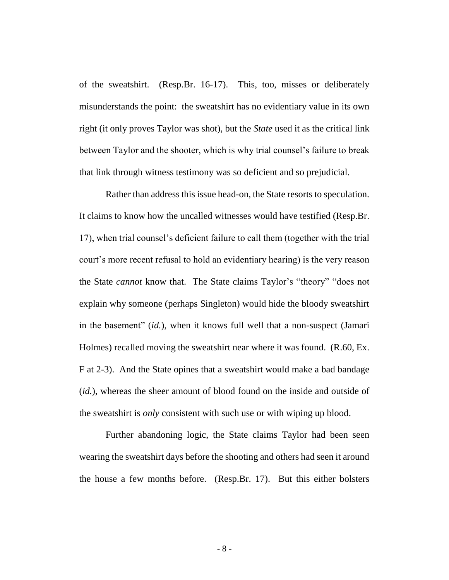of the sweatshirt. (Resp.Br. 16-17). This, too, misses or deliberately misunderstands the point: the sweatshirt has no evidentiary value in its own right (it only proves Taylor was shot), but the *State* used it as the critical link between Taylor and the shooter, which is why trial counsel's failure to break that link through witness testimony was so deficient and so prejudicial.

Rather than address this issue head-on, the State resorts to speculation. It claims to know how the uncalled witnesses would have testified (Resp.Br. 17), when trial counsel's deficient failure to call them (together with the trial court's more recent refusal to hold an evidentiary hearing) is the very reason the State *cannot* know that. The State claims Taylor's "theory" "does not explain why someone (perhaps Singleton) would hide the bloody sweatshirt in the basement" (*id.*), when it knows full well that a non-suspect (Jamari Holmes) recalled moving the sweatshirt near where it was found. (R.60, Ex. F at 2-3). And the State opines that a sweatshirt would make a bad bandage (*id.*), whereas the sheer amount of blood found on the inside and outside of the sweatshirt is *only* consistent with such use or with wiping up blood.

Further abandoning logic, the State claims Taylor had been seen wearing the sweatshirt days before the shooting and others had seen it around the house a few months before. (Resp.Br. 17). But this either bolsters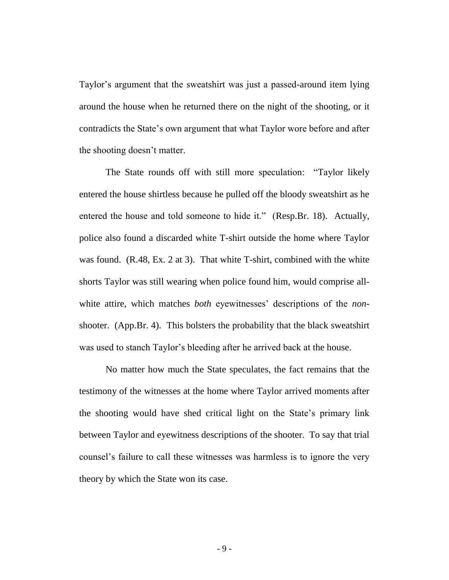Taylor's argument that the sweatshirt was just a passed-around item lying around the house when he returned there on the night of the shooting, or it contradicts the State's own argument that what Taylor wore before and after the shooting doesn't matter.

The State rounds off with still more speculation: "Taylor likely entered the house shirtless because he pulled off the bloody sweatshirt as he entered the house and told someone to hide it." (Resp.Br. 18). Actually, police also found a discarded white T-shirt outside the home where Taylor was found. (R.48, Ex. 2 at 3). That white T-shirt, combined with the white shorts Taylor was still wearing when police found him, would comprise allwhite attire, which matches *both* eyewitnesses' descriptions of the *non*shooter. (App.Br. 4). This bolsters the probability that the black sweatshirt was used to stanch Taylor's bleeding after he arrived back at the house.

No matter how much the State speculates, the fact remains that the testimony of the witnesses at the home where Taylor arrived moments after the shooting would have shed critical light on the State's primary link between Taylor and eyewitness descriptions of the shooter. To say that trial counsel's failure to call these witnesses was harmless is to ignore the very theory by which the State won its case.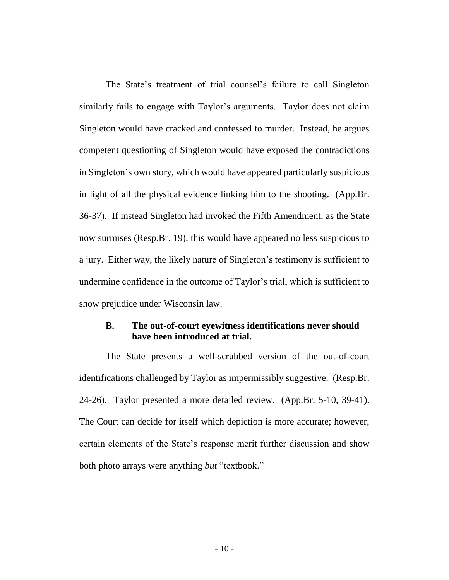The State's treatment of trial counsel's failure to call Singleton similarly fails to engage with Taylor's arguments. Taylor does not claim Singleton would have cracked and confessed to murder. Instead, he argues competent questioning of Singleton would have exposed the contradictions in Singleton's own story, which would have appeared particularly suspicious in light of all the physical evidence linking him to the shooting. (App.Br. 36-37). If instead Singleton had invoked the Fifth Amendment, as the State now surmises (Resp.Br. 19), this would have appeared no less suspicious to a jury. Either way, the likely nature of Singleton's testimony is sufficient to undermine confidence in the outcome of Taylor's trial, which is sufficient to show prejudice under Wisconsin law.

## **B. The out-of-court eyewitness identifications never should have been introduced at trial.**

The State presents a well-scrubbed version of the out-of-court identifications challenged by Taylor as impermissibly suggestive. (Resp.Br. 24-26). Taylor presented a more detailed review. (App.Br. 5-10, 39-41). The Court can decide for itself which depiction is more accurate; however, certain elements of the State's response merit further discussion and show both photo arrays were anything *but* "textbook."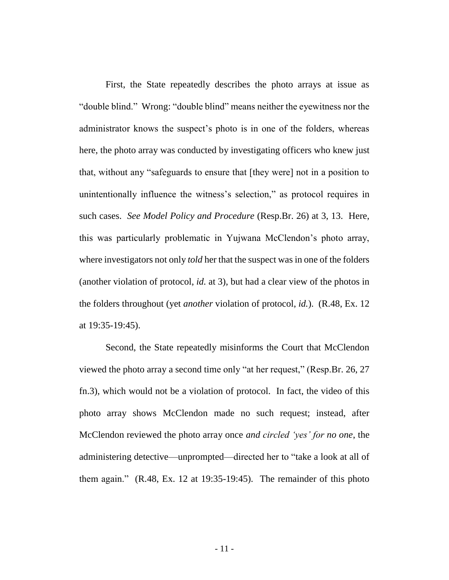First, the State repeatedly describes the photo arrays at issue as "double blind." Wrong: "double blind" means neither the eyewitness nor the administrator knows the suspect's photo is in one of the folders, whereas here, the photo array was conducted by investigating officers who knew just that, without any "safeguards to ensure that [they were] not in a position to unintentionally influence the witness's selection," as protocol requires in such cases. *See Model Policy and Procedure* (Resp.Br. 26) at 3, 13. Here, this was particularly problematic in Yujwana McClendon's photo array, where investigators not only *told* her that the suspect was in one of the folders (another violation of protocol, *id.* at 3), but had a clear view of the photos in the folders throughout (yet *another* violation of protocol, *id.*). (R.48, Ex. 12 at 19:35-19:45).

Second, the State repeatedly misinforms the Court that McClendon viewed the photo array a second time only "at her request," (Resp.Br. 26, 27 fn.3), which would not be a violation of protocol. In fact, the video of this photo array shows McClendon made no such request; instead, after McClendon reviewed the photo array once *and circled 'yes' for no one*, the administering detective—unprompted—directed her to "take a look at all of them again." (R.48, Ex. 12 at 19:35-19:45). The remainder of this photo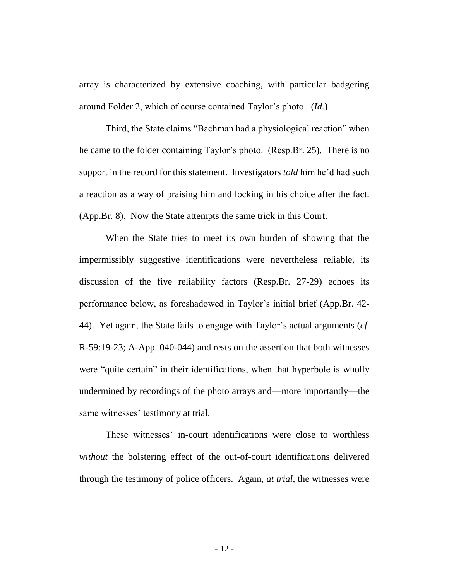array is characterized by extensive coaching, with particular badgering around Folder 2, which of course contained Taylor's photo. (*Id.*)

Third, the State claims "Bachman had a physiological reaction" when he came to the folder containing Taylor's photo. (Resp.Br. 25). There is no support in the record for this statement. Investigators *told* him he'd had such a reaction as a way of praising him and locking in his choice after the fact. (App.Br. 8). Now the State attempts the same trick in this Court.

When the State tries to meet its own burden of showing that the impermissibly suggestive identifications were nevertheless reliable, its discussion of the five reliability factors (Resp.Br. 27-29) echoes its performance below, as foreshadowed in Taylor's initial brief (App.Br. 42- 44). Yet again, the State fails to engage with Taylor's actual arguments (*cf.* R-59:19-23; A-App. 040-044) and rests on the assertion that both witnesses were "quite certain" in their identifications, when that hyperbole is wholly undermined by recordings of the photo arrays and—more importantly—the same witnesses' testimony at trial.

These witnesses' in-court identifications were close to worthless *without* the bolstering effect of the out-of-court identifications delivered through the testimony of police officers. Again, *at trial*, the witnesses were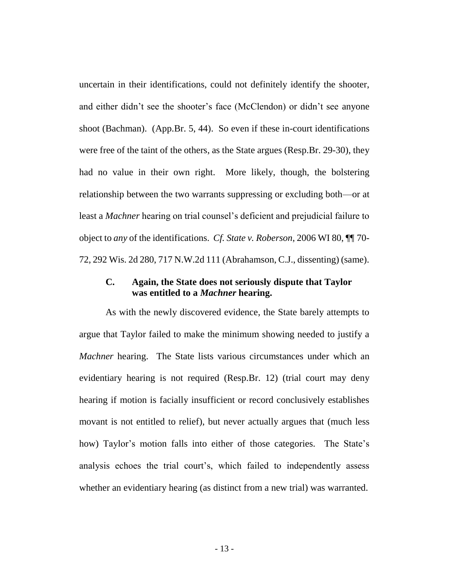uncertain in their identifications, could not definitely identify the shooter, and either didn't see the shooter's face (McClendon) or didn't see anyone shoot (Bachman). (App.Br. 5, 44). So even if these in-court identifications were free of the taint of the others, as the State argues (Resp.Br. 29-30), they had no value in their own right. More likely, though, the bolstering relationship between the two warrants suppressing or excluding both—or at least a *Machner* hearing on trial counsel's deficient and prejudicial failure to object to *any* of the identifications. *Cf. State v. Roberson*, 2006 WI 80, ¶¶ 70- 72, 292 Wis. 2d 280, 717 N.W.2d 111 (Abrahamson, C.J., dissenting) (same).

## **C. Again, the State does not seriously dispute that Taylor was entitled to a** *Machner* **hearing.**

As with the newly discovered evidence, the State barely attempts to argue that Taylor failed to make the minimum showing needed to justify a *Machner* hearing. The State lists various circumstances under which an evidentiary hearing is not required (Resp.Br. 12) (trial court may deny hearing if motion is facially insufficient or record conclusively establishes movant is not entitled to relief), but never actually argues that (much less how) Taylor's motion falls into either of those categories. The State's analysis echoes the trial court's, which failed to independently assess whether an evidentiary hearing (as distinct from a new trial) was warranted.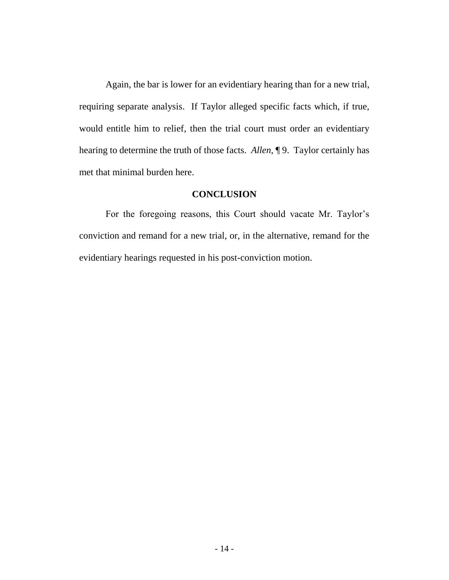Again, the bar is lower for an evidentiary hearing than for a new trial, requiring separate analysis. If Taylor alleged specific facts which, if true, would entitle him to relief, then the trial court must order an evidentiary hearing to determine the truth of those facts. *Allen*, ¶ 9. Taylor certainly has met that minimal burden here.

#### **CONCLUSION**

For the foregoing reasons, this Court should vacate Mr. Taylor's conviction and remand for a new trial, or, in the alternative, remand for the evidentiary hearings requested in his post-conviction motion.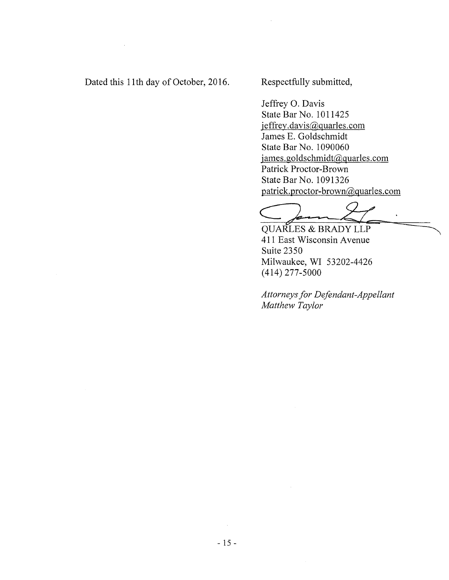Dated this 11th day of October, 2016.

Respectfully submitted,

Jeffrey 0. Davis State Bar No. 1011425 jeffrey.davis@quarles.com James E. Goldschmidt State Bar No. 1090060 james.goldschmidt@quarles.com Patrick Proctor-Brown State Bar No. 1091326 patrick.proctor-brown@quarles.com  $\frac{1}{\sqrt{1-\frac{1}{2}}}$ 

QUARLES & BRADY LLP

411 East Wisconsin A venue Suite 2350 Milwaukee, WI 53202-4426 (414) 277-5000

*Attorneys for Defendant-Appellant Matthew Taylor*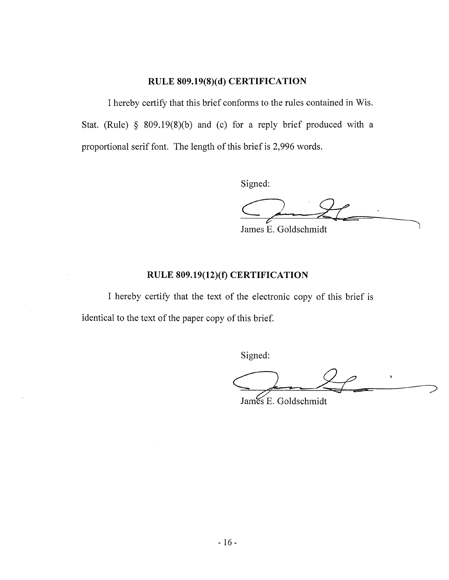## **RULE 809.19(8)(d) CERTIFICATION**

I hereby certify that this brief confonns to the rules contained in Wis. Stat. (Rule) § 809.19 $(8)(b)$  and  $(c)$  for a reply brief produced with a proportional serif font. The length of this brief is 2,996 words.

Signed:

*?* 

James E. Goldschmidt

## **RULE 809.19(12)(1) CERTIFICATION**

I hereby certify that the text of the electronic copy of this brief is identical to the text of the paper copy of this brief.

Signed:

Signed:<br>
<br>
James E. Goldschmidt

James E. Goldschmidt